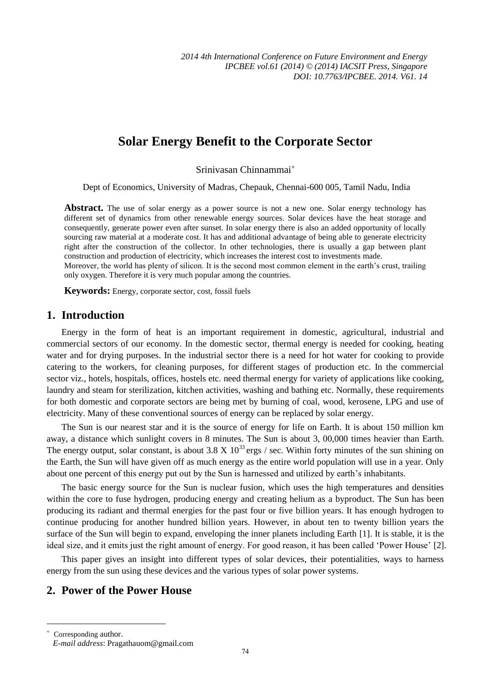# **Solar Energy Benefit to the Corporate Sector**

Srinivasan Chinnammai

Dept of Economics, University of Madras, Chepauk, Chennai-600 005, Tamil Nadu, India

**Abstract.** The use of solar energy as a power source is not a new one. Solar energy technology has different set of dynamics from other renewable energy sources. Solar devices have the heat storage and consequently, generate power even after sunset. In solar energy there is also an added opportunity of locally sourcing raw material at a moderate cost. It has and additional advantage of being able to generate electricity right after the construction of the collector. In other technologies, there is usually a gap between plant construction and production of electricity, which increases the interest cost to investments made. Moreover, the world has plenty of silicon. It is the second most common element in the earth's crust, trailing

only oxygen. Therefore it is very much popular among the countries.

**Keywords:** Energy, corporate sector, cost, fossil fuels

### **1. Introduction**

Energy in the form of heat is an important requirement in domestic, agricultural, industrial and commercial sectors of our economy. In the domestic sector, thermal energy is needed for cooking, heating water and for drying purposes. In the industrial sector there is a need for hot water for cooking to provide catering to the workers, for cleaning purposes, for different stages of production etc. In the commercial sector viz., hotels, hospitals, offices, hostels etc. need thermal energy for variety of applications like cooking, laundry and steam for sterilization, kitchen activities, washing and bathing etc. Normally, these requirements for both domestic and corporate sectors are being met by burning of coal, wood, kerosene, LPG and use of electricity. Many of these conventional sources of energy can be replaced by solar energy.

The Sun is our nearest star and it is the source of energy for life on Earth. It is about 150 million km away, a distance which sunlight covers in 8 minutes. The Sun is about 3, 00,000 times heavier than Earth. The energy output, solar constant, is about 3.8 X  $10^{33}$  ergs / sec. Within forty minutes of the sun shining on the Earth, the Sun will have given off as much energy as the entire world population will use in a year. Only about one percent of this energy put out by the Sun is harnessed and utilized by earth's inhabitants.

The basic energy source for the Sun is nuclear fusion, which uses the high temperatures and densities within the core to fuse hydrogen, producing energy and creating helium as a byproduct. The Sun has been producing its radiant and thermal energies for the past four or five billion years. It has enough hydrogen to continue producing for another hundred billion years. However, in about ten to twenty billion years the surface of the Sun will begin to expand, enveloping the inner planets including Earth [1]. It is stable, it is the ideal size, and it emits just the right amount of energy. For good reason, it has been called 'Power House' [2].

This paper gives an insight into different types of solar devices, their potentialities, ways to harness energy from the sun using these devices and the various types of solar power systems.

### **2. Power of the Power House**

 $\overline{a}$ 

 $^{+}$  Corresponding author. *E-mail address*: Pragathauom@gmail.com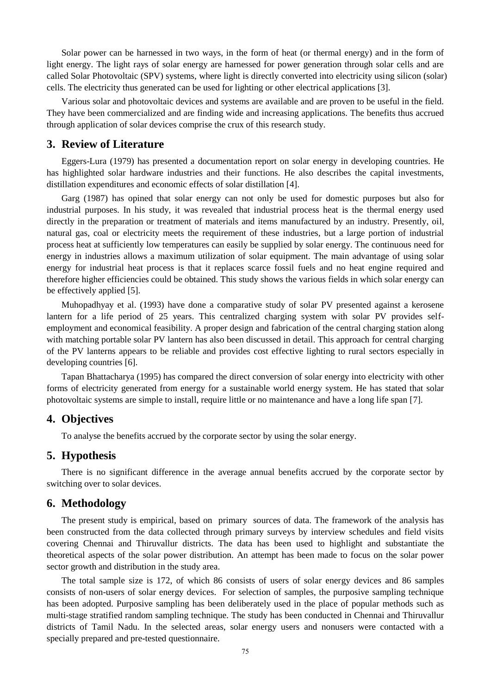Solar power can be harnessed in two ways, in the form of heat (or thermal energy) and in the form of light energy. The light rays of solar energy are harnessed for power generation through solar cells and are called Solar Photovoltaic (SPV) systems, where light is directly converted into electricity using silicon (solar) cells. The electricity thus generated can be used for lighting or other electrical applications [3].

Various solar and photovoltaic devices and systems are available and are proven to be useful in the field. They have been commercialized and are finding wide and increasing applications. The benefits thus accrued through application of solar devices comprise the crux of this research study.

#### **3. Review of Literature**

Eggers-Lura (1979) has presented a documentation report on solar energy in developing countries. He has highlighted solar hardware industries and their functions. He also describes the capital investments, distillation expenditures and economic effects of solar distillation [4].

Garg (1987) has opined that solar energy can not only be used for domestic purposes but also for industrial purposes. In his study, it was revealed that industrial process heat is the thermal energy used directly in the preparation or treatment of materials and items manufactured by an industry. Presently, oil, natural gas, coal or electricity meets the requirement of these industries, but a large portion of industrial process heat at sufficiently low temperatures can easily be supplied by solar energy. The continuous need for energy in industries allows a maximum utilization of solar equipment. The main advantage of using solar energy for industrial heat process is that it replaces scarce fossil fuels and no heat engine required and therefore higher efficiencies could be obtained. This study shows the various fields in which solar energy can be effectively applied [5].

Muhopadhyay et al. (1993) have done a comparative study of solar PV presented against a kerosene lantern for a life period of 25 years. This centralized charging system with solar PV provides selfemployment and economical feasibility. A proper design and fabrication of the central charging station along with matching portable solar PV lantern has also been discussed in detail. This approach for central charging of the PV lanterns appears to be reliable and provides cost effective lighting to rural sectors especially in developing countries [6].

Tapan Bhattacharya (1995) has compared the direct conversion of solar energy into electricity with other forms of electricity generated from energy for a sustainable world energy system. He has stated that solar photovoltaic systems are simple to install, require little or no maintenance and have a long life span [7].

#### **4. Objectives**

To analyse the benefits accrued by the corporate sector by using the solar energy.

### **5. Hypothesis**

There is no significant difference in the average annual benefits accrued by the corporate sector by switching over to solar devices.

#### **6. Methodology**

The present study is empirical, based on primary sources of data. The framework of the analysis has been constructed from the data collected through primary surveys by interview schedules and field visits covering Chennai and Thiruvallur districts. The data has been used to highlight and substantiate the theoretical aspects of the solar power distribution. An attempt has been made to focus on the solar power sector growth and distribution in the study area.

The total sample size is 172, of which 86 consists of users of solar energy devices and 86 samples consists of non-users of solar energy devices. For selection of samples, the purposive sampling technique has been adopted. Purposive sampling has been deliberately used in the place of popular methods such as multi-stage stratified random sampling technique. The study has been conducted in Chennai and Thiruvallur districts of Tamil Nadu. In the selected areas, solar energy users and nonusers were contacted with a specially prepared and pre-tested questionnaire.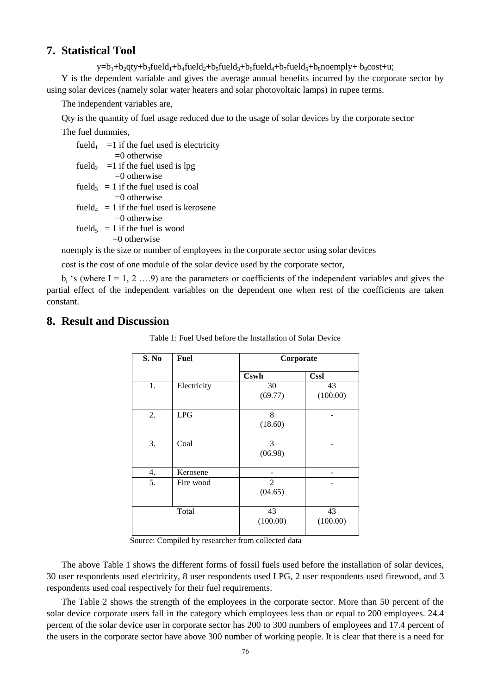### **7. Statistical Tool**

 $y=b_1+b_2qty+b_3fueld_1+b_4fueld_2+b_5fueld_3+b_6fueld_4+b_7fueld_5+b_8noemply+ b_9cost+u;$ 

Y is the dependent variable and gives the average annual benefits incurred by the corporate sector by using solar devices (namely solar water heaters and solar photovoltaic lamps) in rupee terms.

The independent variables are,

Qty is the quantity of fuel usage reduced due to the usage of solar devices by the corporate sector

The fuel dummies,

| fueld <sub>1</sub> = 1 if the fuel used is electricity |
|--------------------------------------------------------|
| $=$ () otherwise                                       |
| fueld <sub>2</sub> = 1 if the fuel used is lpg         |
| $=0$ otherwise                                         |
| fueld <sub>3</sub> = 1 if the fuel used is coal        |
| $=0$ otherwise                                         |
| fueld <sub>4</sub> = 1 if the fuel used is kerosene    |
| $=0$ otherwise                                         |
| fueld <sub>5</sub> = 1 if the fuel is wood             |

 $=0$  otherwise

noemply is the size or number of employees in the corporate sector using solar devices

cost is the cost of one module of the solar device used by the corporate sector,

 $b_i$  's (where I = 1, 2 ….9) are the parameters or coefficients of the independent variables and gives the partial effect of the independent variables on the dependent one when rest of the coefficients are taken constant.

## **8. Result and Discussion**

| S. No | Fuel        |                           | Corporate      |
|-------|-------------|---------------------------|----------------|
|       | <b>Cswh</b> | <b>Cssl</b>               |                |
| 1.    | Electricity | 30<br>(69.77)             | 43<br>(100.00) |
| 2.    | <b>LPG</b>  | 8<br>(18.60)              |                |
| 3.    | Coal        | 3<br>(06.98)              |                |
| 4.    | Kerosene    |                           |                |
| 5.    | Fire wood   | $\overline{2}$<br>(04.65) |                |
|       | Total       | 43<br>(100.00)            | 43<br>(100.00) |

Table 1: Fuel Used before the Installation of Solar Device

Source: Compiled by researcher from collected data

The above Table 1 shows the different forms of fossil fuels used before the installation of solar devices, 30 user respondents used electricity, 8 user respondents used LPG, 2 user respondents used firewood, and 3 respondents used coal respectively for their fuel requirements.

The Table 2 shows the strength of the employees in the corporate sector. More than 50 percent of the solar device corporate users fall in the category which employees less than or equal to 200 employees. 24.4 percent of the solar device user in corporate sector has 200 to 300 numbers of employees and 17.4 percent of the users in the corporate sector have above 300 number of working people. It is clear that there is a need for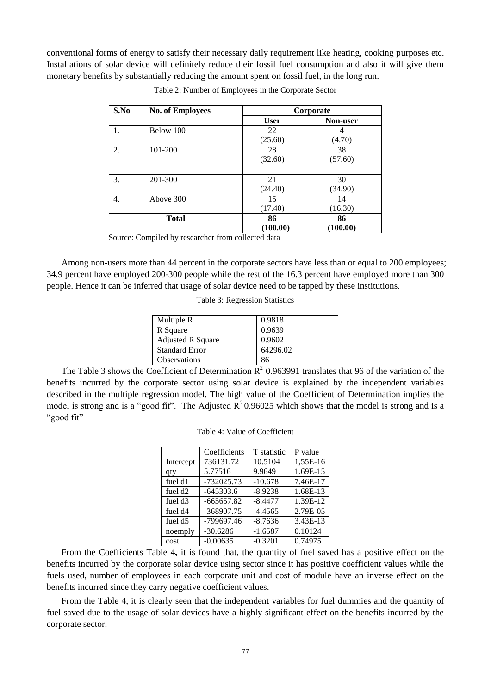conventional forms of energy to satisfy their necessary daily requirement like heating, cooking purposes etc. Installations of solar device will definitely reduce their fossil fuel consumption and also it will give them monetary benefits by substantially reducing the amount spent on fossil fuel, in the long run.

| S.No | <b>No. of Employees</b>  | Corporate   |                 |
|------|--------------------------|-------------|-----------------|
|      |                          | <b>User</b> | <b>Non-user</b> |
| 1.   | Below 100                | 22          | 4               |
|      |                          | (25.60)     | (4.70)          |
| 2.   | 101-200                  | 28          | 38              |
|      |                          | (32.60)     | (57.60)         |
|      |                          |             |                 |
| 3.   | 201-300                  | 21          | 30              |
|      |                          | (24.40)     | (34.90)         |
| 4.   | Above 300                | 15          | 14              |
|      |                          | (17.40)     | (16.30)         |
|      | 86<br>86<br><b>Total</b> |             |                 |
|      |                          | (100.00)    | (100.00)        |

Table 2: Number of Employees in the Corporate Sector

Source: Compiled by researcher from collected data

Among non-users more than 44 percent in the corporate sectors have less than or equal to 200 employees; 34.9 percent have employed 200-300 people while the rest of the 16.3 percent have employed more than 300 people. Hence it can be inferred that usage of solar device need to be tapped by these institutions.

Table 3: Regression Statistics

| Multiple R               | 0.9818   |
|--------------------------|----------|
| R Square                 | 0.9639   |
| <b>Adjusted R Square</b> | 0.9602   |
| <b>Standard Error</b>    | 64296.02 |
| <b>Observations</b>      | 86       |

The Table 3 shows the Coefficient of Determination  $R^2$  0.963991 translates that 96 of the variation of the benefits incurred by the corporate sector using solar device is explained by the independent variables described in the multiple regression model. The high value of the Coefficient of Determination implies the model is strong and is a "good fit". The Adjusted  $R^2$ 0.96025 which shows that the model is strong and is a "good fit"

| Coefficients   T statistic   P va |         |      |
|-----------------------------------|---------|------|
| ept   736131.72                   | 10.5104 | 1.55 |
|                                   |         |      |

Table 4: Value of Coefficient

|                     | Coefficients | T statistic | P value  |
|---------------------|--------------|-------------|----------|
| Intercept           | 736131.72    | 10.5104     | 1,55E-16 |
| qty                 | 5.77516      | 9.9649      | 1.69E-15 |
| fuel d1             | $-732025.73$ | $-10.678$   | 7.46E-17 |
| fuel d <sub>2</sub> | $-645303.6$  | $-8.9238$   | 1.68E-13 |
| fuel d <sub>3</sub> | $-665657.82$ | $-8.4477$   | 1.39E-12 |
| fuel d4             | -368907.75   | $-4.4565$   | 2.79E-05 |
| fuel d5             | -799697.46   | $-8.7636$   | 3.43E-13 |
| noemply             | $-30.6286$   | $-1.6587$   | 0.10124  |
| cost                | $-0.00635$   | $-0.3201$   | 0.74975  |

From the Coefficients Table 4**,** it is found that, the quantity of fuel saved has a positive effect on the benefits incurred by the corporate solar device using sector since it has positive coefficient values while the fuels used, number of employees in each corporate unit and cost of module have an inverse effect on the benefits incurred since they carry negative coefficient values.

From the Table 4, it is clearly seen that the independent variables for fuel dummies and the quantity of fuel saved due to the usage of solar devices have a highly significant effect on the benefits incurred by the corporate sector.